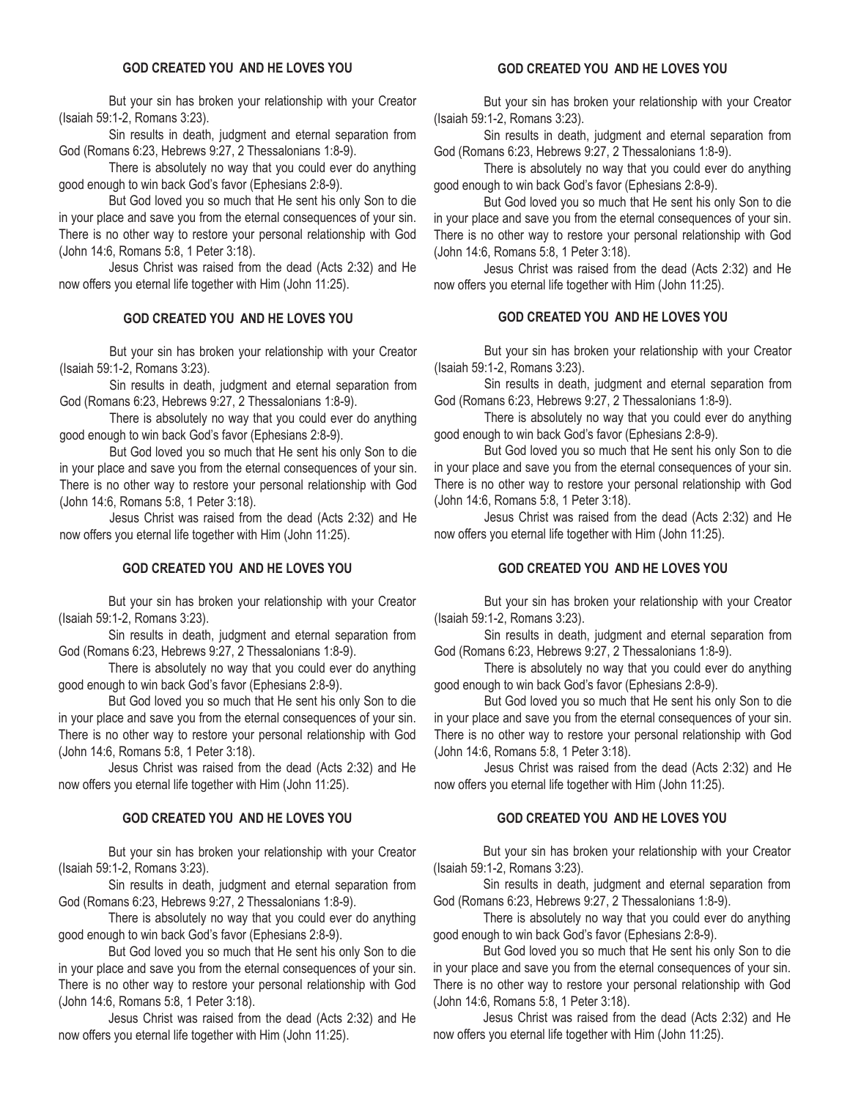#### **GOD CREATED YOU AND HE LOVES YOU**

 But your sin has broken your relationship with your Creator (Isaiah 59:1-2, Romans 3:23).

 Sin results in death, judgment and eternal separation from God (Romans 6:23, Hebrews 9:27, 2 Thessalonians 1:8-9).

 There is absolutely no way that you could ever do anything good enough to win back God's favor (Ephesians 2:8-9).

 But God loved you so much that He sent his only Son to die in your place and save you from the eternal consequences of your sin. There is no other way to restore your personal relationship with God (John 14:6, Romans 5:8, 1 Peter 3:18).

 Jesus Christ was raised from the dead (Acts 2:32) and He now offers you eternal life together with Him (John 11:25).

### **GOD CREATED YOU AND HE LOVES YOU**

 But your sin has broken your relationship with your Creator (Isaiah 59:1-2, Romans 3:23).

 Sin results in death, judgment and eternal separation from God (Romans 6:23, Hebrews 9:27, 2 Thessalonians 1:8-9).

 There is absolutely no way that you could ever do anything good enough to win back God's favor (Ephesians 2:8-9).

 But God loved you so much that He sent his only Son to die in your place and save you from the eternal consequences of your sin. There is no other way to restore your personal relationship with God (John 14:6, Romans 5:8, 1 Peter 3:18).

 Jesus Christ was raised from the dead (Acts 2:32) and He now offers you eternal life together with Him (John 11:25).

### **GOD CREATED YOU AND HE LOVES YOU**

 But your sin has broken your relationship with your Creator (Isaiah 59:1-2, Romans 3:23).

 Sin results in death, judgment and eternal separation from God (Romans 6:23, Hebrews 9:27, 2 Thessalonians 1:8-9).

 There is absolutely no way that you could ever do anything good enough to win back God's favor (Ephesians 2:8-9).

 But God loved you so much that He sent his only Son to die in your place and save you from the eternal consequences of your sin. There is no other way to restore your personal relationship with God (John 14:6, Romans 5:8, 1 Peter 3:18).

 Jesus Christ was raised from the dead (Acts 2:32) and He now offers you eternal life together with Him (John 11:25).

## **GOD CREATED YOU AND HE LOVES YOU**

 But your sin has broken your relationship with your Creator (Isaiah 59:1-2, Romans 3:23).

 Sin results in death, judgment and eternal separation from God (Romans 6:23, Hebrews 9:27, 2 Thessalonians 1:8-9).

 There is absolutely no way that you could ever do anything good enough to win back God's favor (Ephesians 2:8-9).

 But God loved you so much that He sent his only Son to die in your place and save you from the eternal consequences of your sin. There is no other way to restore your personal relationship with God (John 14:6, Romans 5:8, 1 Peter 3:18).

 Jesus Christ was raised from the dead (Acts 2:32) and He now offers you eternal life together with Him (John 11:25).

 But your sin has broken your relationship with your Creator (Isaiah 59:1-2, Romans 3:23).

 Sin results in death, judgment and eternal separation from God (Romans 6:23, Hebrews 9:27, 2 Thessalonians 1:8-9).

 There is absolutely no way that you could ever do anything good enough to win back God's favor (Ephesians 2:8-9).

 But God loved you so much that He sent his only Son to die in your place and save you from the eternal consequences of your sin. There is no other way to restore your personal relationship with God (John 14:6, Romans 5:8, 1 Peter 3:18).

 Jesus Christ was raised from the dead (Acts 2:32) and He now offers you eternal life together with Him (John 11:25).

### **GOD CREATED YOU AND HE LOVES YOU**

 But your sin has broken your relationship with your Creator (Isaiah 59:1-2, Romans 3:23).

 Sin results in death, judgment and eternal separation from God (Romans 6:23, Hebrews 9:27, 2 Thessalonians 1:8-9).

 There is absolutely no way that you could ever do anything good enough to win back God's favor (Ephesians 2:8-9).

 But God loved you so much that He sent his only Son to die in your place and save you from the eternal consequences of your sin. There is no other way to restore your personal relationship with God (John 14:6, Romans 5:8, 1 Peter 3:18).

 Jesus Christ was raised from the dead (Acts 2:32) and He now offers you eternal life together with Him (John 11:25).

### **GOD CREATED YOU AND HE LOVES YOU**

 But your sin has broken your relationship with your Creator (Isaiah 59:1-2, Romans 3:23).

 Sin results in death, judgment and eternal separation from God (Romans 6:23, Hebrews 9:27, 2 Thessalonians 1:8-9).

 There is absolutely no way that you could ever do anything good enough to win back God's favor (Ephesians 2:8-9).

 But God loved you so much that He sent his only Son to die in your place and save you from the eternal consequences of your sin. There is no other way to restore your personal relationship with God (John 14:6, Romans 5:8, 1 Peter 3:18).

 Jesus Christ was raised from the dead (Acts 2:32) and He now offers you eternal life together with Him (John 11:25).

# **GOD CREATED YOU AND HE LOVES YOU**

 But your sin has broken your relationship with your Creator (Isaiah 59:1-2, Romans 3:23).

 Sin results in death, judgment and eternal separation from God (Romans 6:23, Hebrews 9:27, 2 Thessalonians 1:8-9).

 There is absolutely no way that you could ever do anything good enough to win back God's favor (Ephesians 2:8-9).

 But God loved you so much that He sent his only Son to die in your place and save you from the eternal consequences of your sin. There is no other way to restore your personal relationship with God (John 14:6, Romans 5:8, 1 Peter 3:18).

 Jesus Christ was raised from the dead (Acts 2:32) and He now offers you eternal life together with Him (John 11:25).